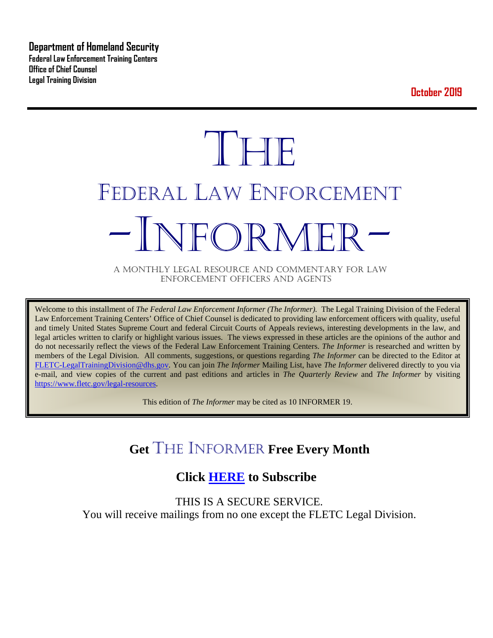**Department of Homeland Security Federal Law Enforcement Training Centers Office of Chief Counsel Legal Training Division** 

**October 2019**

# **THE** FEDERAL LAW ENFORCEMENT -INFORMER- A MONTHLY LEGAL RESOURCE AND COMMENTARY FOR LAW

ENFORCEMENT OFFICERS AND AGENTS

Welcome to this installment of *The Federal Law Enforcement Informer (The Informer).* The Legal Training Division of the Federal Law Enforcement Training Centers' Office of Chief Counsel is dedicated to providing law enforcement officers with quality, useful and timely United States Supreme Court and federal Circuit Courts of Appeals reviews, interesting developments in the law, and legal articles written to clarify or highlight various issues. The views expressed in these articles are the opinions of the author and do not necessarily reflect the views of the Federal Law Enforcement Training Centers. *The Informer* is researched and written by members of the Legal Division. All comments, suggestions, or questions regarding *The Informer* can be directed to the Editor at [FLETC-LegalTrainingDivision@dhs.gov.](mailto:FLETC-LegalTrainingDivision@dhs.gov) You can join *The Informer* Mailing List, have *The Informer* delivered directly to you via e-mail, and view copies of the current and past editions and articles in *The Quarterly Review* and *The Informer* by visiting [https://www.fletc.gov/legal-resources.](https://www.fletc.gov/legal-resources)

This edition of *The Informer* may be cited as 10 INFORMER 19.

# **Get** THE INFORMER **Free Every Month**

# **Click [HERE](https://app.co-sender.com/opt-in/list/7b007eab-378b-4542-807f-44d6de94cb7e) to Subscribe**

THIS IS A SECURE SERVICE. You will receive mailings from no one except the FLETC Legal Division.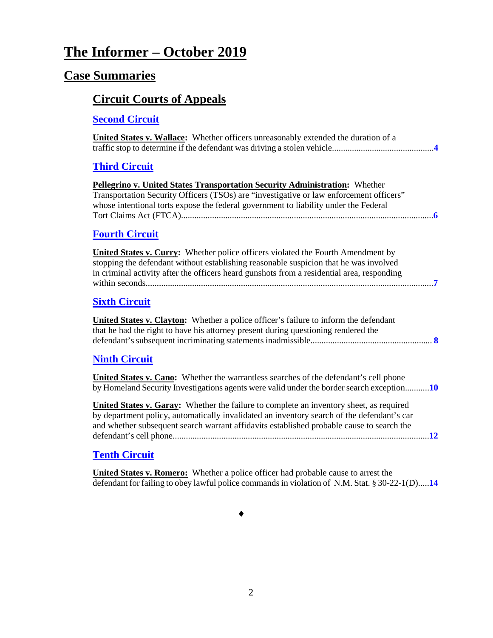# **The Informer – October 2019**

### **Case Summaries**

# **[Circuit Courts of Appeals](#page-3-0)**

#### **[Second Circuit](#page-3-1)**

| <b>United States v. Wallace:</b> Whether officers unreasonably extended the duration of a                                                                                                                                                                                                 |
|-------------------------------------------------------------------------------------------------------------------------------------------------------------------------------------------------------------------------------------------------------------------------------------------|
| <b>Third Circuit</b>                                                                                                                                                                                                                                                                      |
| Pellegrino v. United States Transportation Security Administration: Whether<br>Transportation Security Officers (TSOs) are "investigative or law enforcement officers"<br>whose intentional torts expose the federal government to liability under the Federal                            |
| <b>Fourth Circuit</b>                                                                                                                                                                                                                                                                     |
| <b>United States v. Curry:</b> Whether police officers violated the Fourth Amendment by<br>stopping the defendant without establishing reasonable suspicion that he was involved<br>in criminal activity after the officers heard gunshots from a residential area, responding            |
| <b>Sixth Circuit</b>                                                                                                                                                                                                                                                                      |
| United States v. Clayton: Whether a police officer's failure to inform the defendant<br>that he had the right to have his attorney present during questioning rendered the                                                                                                                |
| <b>Ninth Circuit</b>                                                                                                                                                                                                                                                                      |
| <b>United States v. Cano:</b> Whether the warrantless searches of the defendant's cell phone<br>by Homeland Security Investigations agents were valid under the border search exception10                                                                                                 |
| <b>United States v. Garay:</b> Whether the failure to complete an inventory sheet, as required<br>by department policy, automatically invalidated an inventory search of the defendant's car<br>and whether subsequent search warrant affidavits established probable cause to search the |

#### **[Tenth Circuit](#page-13-0)**

**United States v. Romero:** Whether a police officer had probable cause to arrest the defendant for failing to obey lawful police commands in violation of N.M. Stat. § 30-22-1(D).....**[14](#page-13-1)**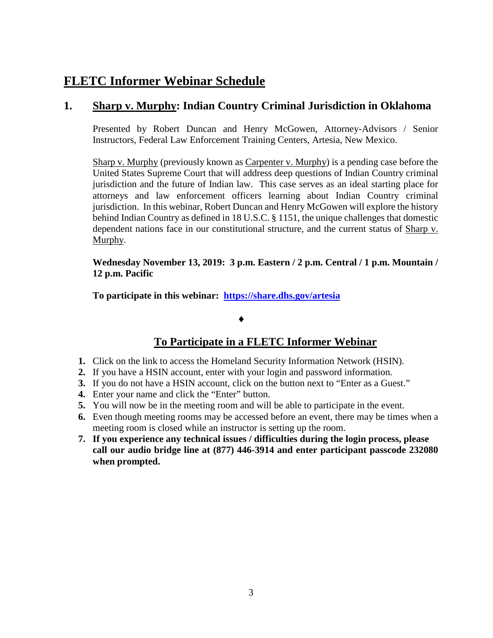# **FLETC Informer Webinar Schedule**

#### **1. Sharp v. Murphy: Indian Country Criminal Jurisdiction in Oklahoma**

Presented by Robert Duncan and Henry McGowen, Attorney-Advisors / Senior Instructors, Federal Law Enforcement Training Centers, Artesia, New Mexico.

Sharp v. Murphy (previously known as Carpenter v. Murphy) is a pending case before the United States Supreme Court that will address deep questions of Indian Country criminal jurisdiction and the future of Indian law. This case serves as an ideal starting place for attorneys and law enforcement officers learning about Indian Country criminal jurisdiction. In this webinar, Robert Duncan and Henry McGowen will explore the history behind Indian Country as defined in 18 U.S.C. § 1151, the unique challenges that domestic dependent nations face in our constitutional structure, and the current status of Sharp v. Murphy.

**Wednesday November 13, 2019: 3 p.m. Eastern / 2 p.m. Central / 1 p.m. Mountain / 12 p.m. Pacific** 

**To participate in this webinar: <https://share.dhs.gov/artesia>**

#### ♦

#### **To Participate in a FLETC Informer Webinar**

- **1.** Click on the link to access the Homeland Security Information Network (HSIN).
- **2.** If you have a HSIN account, enter with your login and password information.
- **3.** If you do not have a HSIN account, click on the button next to "Enter as a Guest."
- **4.** Enter your name and click the "Enter" button.
- **5.** You will now be in the meeting room and will be able to participate in the event.
- **6.** Even though meeting rooms may be accessed before an event, there may be times when a meeting room is closed while an instructor is setting up the room.
- **7. If you experience any technical issues / difficulties during the login process, please call our audio bridge line at (877) 446-3914 and enter participant passcode 232080 when prompted.**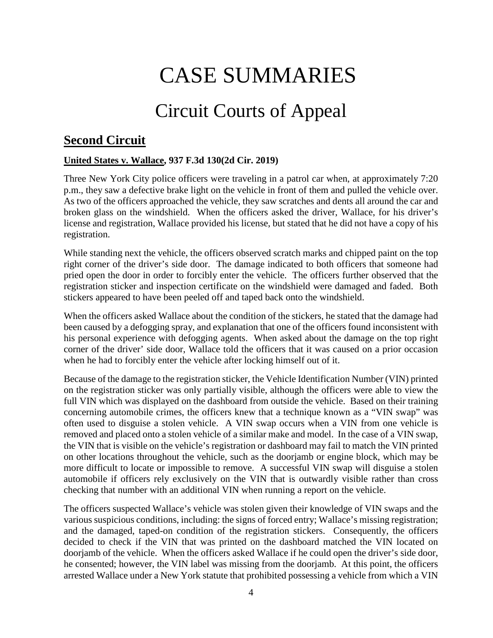# CASE SUMMARIES

# Circuit Courts of Appeal

## <span id="page-3-1"></span><span id="page-3-0"></span>**Second Circuit**

#### <span id="page-3-2"></span>**United States v. Wallace, 937 F.3d 130(2d Cir. 2019)**

Three New York City police officers were traveling in a patrol car when, at approximately 7:20 p.m., they saw a defective brake light on the vehicle in front of them and pulled the vehicle over. As two of the officers approached the vehicle, they saw scratches and dents all around the car and broken glass on the windshield. When the officers asked the driver, Wallace, for his driver's license and registration, Wallace provided his license, but stated that he did not have a copy of his registration.

While standing next the vehicle, the officers observed scratch marks and chipped paint on the top right corner of the driver's side door. The damage indicated to both officers that someone had pried open the door in order to forcibly enter the vehicle. The officers further observed that the registration sticker and inspection certificate on the windshield were damaged and faded. Both stickers appeared to have been peeled off and taped back onto the windshield.

When the officers asked Wallace about the condition of the stickers, he stated that the damage had been caused by a defogging spray, and explanation that one of the officers found inconsistent with his personal experience with defogging agents. When asked about the damage on the top right corner of the driver' side door, Wallace told the officers that it was caused on a prior occasion when he had to forcibly enter the vehicle after locking himself out of it.

Because of the damage to the registration sticker, the Vehicle Identification Number (VIN) printed on the registration sticker was only partially visible, although the officers were able to view the full VIN which was displayed on the dashboard from outside the vehicle. Based on their training concerning automobile crimes, the officers knew that a technique known as a "VIN swap" was often used to disguise a stolen vehicle. A VIN swap occurs when a VIN from one vehicle is removed and placed onto a stolen vehicle of a similar make and model. In the case of a VIN swap, the VIN that is visible on the vehicle's registration or dashboard may fail to match the VIN printed on other locations throughout the vehicle, such as the doorjamb or engine block, which may be more difficult to locate or impossible to remove. A successful VIN swap will disguise a stolen automobile if officers rely exclusively on the VIN that is outwardly visible rather than cross checking that number with an additional VIN when running a report on the vehicle.

The officers suspected Wallace's vehicle was stolen given their knowledge of VIN swaps and the various suspicious conditions, including: the signs of forced entry; Wallace's missing registration; and the damaged, taped-on condition of the registration stickers. Consequently, the officers decided to check if the VIN that was printed on the dashboard matched the VIN located on doorjamb of the vehicle. When the officers asked Wallace if he could open the driver's side door, he consented; however, the VIN label was missing from the doorjamb. At this point, the officers arrested Wallace under a New York statute that prohibited possessing a vehicle from which a VIN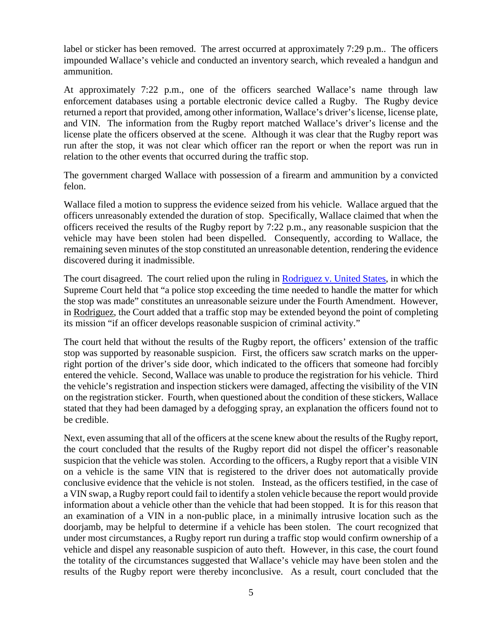label or sticker has been removed. The arrest occurred at approximately 7:29 p.m.. The officers impounded Wallace's vehicle and conducted an inventory search, which revealed a handgun and ammunition.

At approximately 7:22 p.m., one of the officers searched Wallace's name through law enforcement databases using a portable electronic device called a Rugby. The Rugby device returned a report that provided, among other information, Wallace's driver's license, license plate, and VIN. The information from the Rugby report matched Wallace's driver's license and the license plate the officers observed at the scene. Although it was clear that the Rugby report was run after the stop, it was not clear which officer ran the report or when the report was run in relation to the other events that occurred during the traffic stop.

The government charged Wallace with possession of a firearm and ammunition by a convicted felon.

Wallace filed a motion to suppress the evidence seized from his vehicle. Wallace argued that the officers unreasonably extended the duration of stop. Specifically, Wallace claimed that when the officers received the results of the Rugby report by 7:22 p.m., any reasonable suspicion that the vehicle may have been stolen had been dispelled. Consequently, according to Wallace, the remaining seven minutes of the stop constituted an unreasonable detention, rendering the evidence discovered during it inadmissible.

The court disagreed. The court relied upon the ruling in [Rodriguez v. United States,](https://supreme.justia.com/cases/federal/us/575/13-9972/) in which the Supreme Court held that "a police stop exceeding the time needed to handle the matter for which the stop was made" constitutes an unreasonable seizure under the Fourth Amendment. However, in Rodriguez, the Court added that a traffic stop may be extended beyond the point of completing its mission "if an officer develops reasonable suspicion of criminal activity."

The court held that without the results of the Rugby report, the officers' extension of the traffic stop was supported by reasonable suspicion. First, the officers saw scratch marks on the upperright portion of the driver's side door, which indicated to the officers that someone had forcibly entered the vehicle. Second, Wallace was unable to produce the registration for his vehicle. Third the vehicle's registration and inspection stickers were damaged, affecting the visibility of the VIN on the registration sticker. Fourth, when questioned about the condition of these stickers, Wallace stated that they had been damaged by a defogging spray, an explanation the officers found not to be credible.

Next, even assuming that all of the officers at the scene knew about the results of the Rugby report, the court concluded that the results of the Rugby report did not dispel the officer's reasonable suspicion that the vehicle was stolen. According to the officers, a Rugby report that a visible VIN on a vehicle is the same VIN that is registered to the driver does not automatically provide conclusive evidence that the vehicle is not stolen. Instead, as the officers testified, in the case of a VIN swap, a Rugby report could fail to identify a stolen vehicle because the report would provide information about a vehicle other than the vehicle that had been stopped. It is for this reason that an examination of a VIN in a non-public place, in a minimally intrusive location such as the doorjamb, may be helpful to determine if a vehicle has been stolen. The court recognized that under most circumstances, a Rugby report run during a traffic stop would confirm ownership of a vehicle and dispel any reasonable suspicion of auto theft. However, in this case, the court found the totality of the circumstances suggested that Wallace's vehicle may have been stolen and the results of the Rugby report were thereby inconclusive. As a result, court concluded that the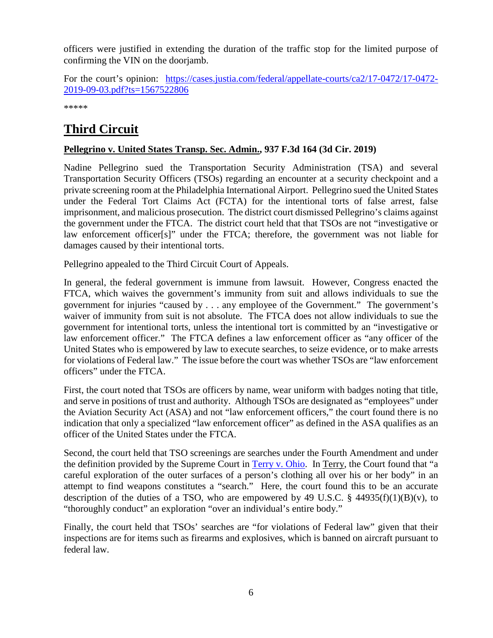officers were justified in extending the duration of the traffic stop for the limited purpose of confirming the VIN on the doorjamb.

For the court's opinion: [https://cases.justia.com/federal/appellate-courts/ca2/17-0472/17-0472-](https://cases.justia.com/federal/appellate-courts/ca2/17-0472/17-0472-2019-09-03.pdf?ts=1567522806) [2019-09-03.pdf?ts=1567522806](https://cases.justia.com/federal/appellate-courts/ca2/17-0472/17-0472-2019-09-03.pdf?ts=1567522806)

\*\*\*\*\*

# <span id="page-5-0"></span>**Third Circuit**

#### <span id="page-5-1"></span>**Pellegrino v. United States Transp. Sec. Admin., 937 F.3d 164 (3d Cir. 2019)**

Nadine Pellegrino sued the Transportation Security Administration (TSA) and several Transportation Security Officers (TSOs) regarding an encounter at a security checkpoint and a private screening room at the Philadelphia International Airport. Pellegrino sued the United States under the Federal Tort Claims Act (FCTA) for the intentional torts of false arrest, false imprisonment, and malicious prosecution. The district court dismissed Pellegrino's claims against the government under the FTCA. The district court held that that TSOs are not "investigative or law enforcement officer[s]" under the FTCA; therefore, the government was not liable for damages caused by their intentional torts.

Pellegrino appealed to the Third Circuit Court of Appeals.

In general, the federal government is immune from lawsuit. However, Congress enacted the FTCA, which waives the government's immunity from suit and allows individuals to sue the government for injuries "caused by . . . any employee of the Government." The government's waiver of immunity from suit is not absolute. The FTCA does not allow individuals to sue the government for intentional torts, unless the intentional tort is committed by an "investigative or law enforcement officer." The FTCA defines a law enforcement officer as "any officer of the United States who is empowered by law to execute searches, to seize evidence, or to make arrests for violations of Federal law." The issue before the court was whether TSOs are "law enforcement officers" under the FTCA.

First, the court noted that TSOs are officers by name, wear uniform with badges noting that title, and serve in positions of trust and authority. Although TSOs are designated as "employees" under the Aviation Security Act (ASA) and not "law enforcement officers," the court found there is no indication that only a specialized "law enforcement officer" as defined in the ASA qualifies as an officer of the United States under the FTCA.

Second, the court held that TSO screenings are searches under the Fourth Amendment and under the definition provided by the Supreme Court in [Terry v. Ohio.](https://supreme.justia.com/cases/federal/us/392/1/) In Terry, the Court found that "a careful exploration of the outer surfaces of a person's clothing all over his or her body" in an attempt to find weapons constitutes a "search." Here, the court found this to be an accurate description of the duties of a TSO, who are empowered by 49 U.S.C. § 44935(f)(1)(B)(v), to "thoroughly conduct" an exploration "over an individual's entire body."

Finally, the court held that TSOs' searches are "for violations of Federal law" given that their inspections are for items such as firearms and explosives, which is banned on aircraft pursuant to federal law.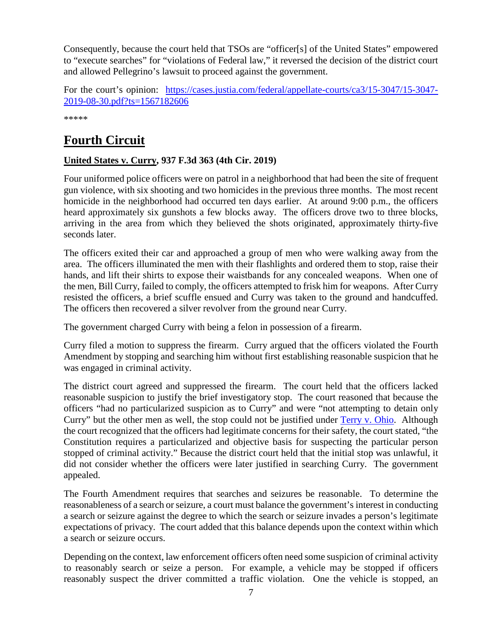Consequently, because the court held that TSOs are "officer[s] of the United States" empowered to "execute searches" for "violations of Federal law," it reversed the decision of the district court and allowed Pellegrino's lawsuit to proceed against the government.

For the court's opinion: [https://cases.justia.com/federal/appellate-courts/ca3/15-3047/15-3047-](https://cases.justia.com/federal/appellate-courts/ca3/15-3047/15-3047-2019-08-30.pdf?ts=1567182606) [2019-08-30.pdf?ts=1567182606](https://cases.justia.com/federal/appellate-courts/ca3/15-3047/15-3047-2019-08-30.pdf?ts=1567182606)

\*\*\*\*\*

# <span id="page-6-0"></span>**Fourth Circuit**

#### <span id="page-6-1"></span>**United States v. Curry, 937 F.3d 363 (4th Cir. 2019)**

Four uniformed police officers were on patrol in a neighborhood that had been the site of frequent gun violence, with six shooting and two homicides in the previous three months. The most recent homicide in the neighborhood had occurred ten days earlier. At around 9:00 p.m., the officers heard approximately six gunshots a few blocks away. The officers drove two to three blocks, arriving in the area from which they believed the shots originated, approximately thirty-five seconds later.

The officers exited their car and approached a group of men who were walking away from the area. The officers illuminated the men with their flashlights and ordered them to stop, raise their hands, and lift their shirts to expose their waistbands for any concealed weapons. When one of the men, Bill Curry, failed to comply, the officers attempted to frisk him for weapons. After Curry resisted the officers, a brief scuffle ensued and Curry was taken to the ground and handcuffed. The officers then recovered a silver revolver from the ground near Curry.

The government charged Curry with being a felon in possession of a firearm.

Curry filed a motion to suppress the firearm. Curry argued that the officers violated the Fourth Amendment by stopping and searching him without first establishing reasonable suspicion that he was engaged in criminal activity.

The district court agreed and suppressed the firearm. The court held that the officers lacked reasonable suspicion to justify the brief investigatory stop. The court reasoned that because the officers "had no particularized suspicion as to Curry" and were "not attempting to detain only Curry" but the other men as well, the stop could not be justified under [Terry v. Ohio.](https://supreme.justia.com/cases/federal/us/392/1/) Although the court recognized that the officers had legitimate concerns for their safety, the court stated, "the Constitution requires a particularized and objective basis for suspecting the particular person stopped of criminal activity." Because the district court held that the initial stop was unlawful, it did not consider whether the officers were later justified in searching Curry. The government appealed.

The Fourth Amendment requires that searches and seizures be reasonable. To determine the reasonableness of a search or seizure, a court must balance the government's interest in conducting a search or seizure against the degree to which the search or seizure invades a person's legitimate expectations of privacy. The court added that this balance depends upon the context within which a search or seizure occurs.

Depending on the context, law enforcement officers often need some suspicion of criminal activity to reasonably search or seize a person. For example, a vehicle may be stopped if officers reasonably suspect the driver committed a traffic violation. One the vehicle is stopped, an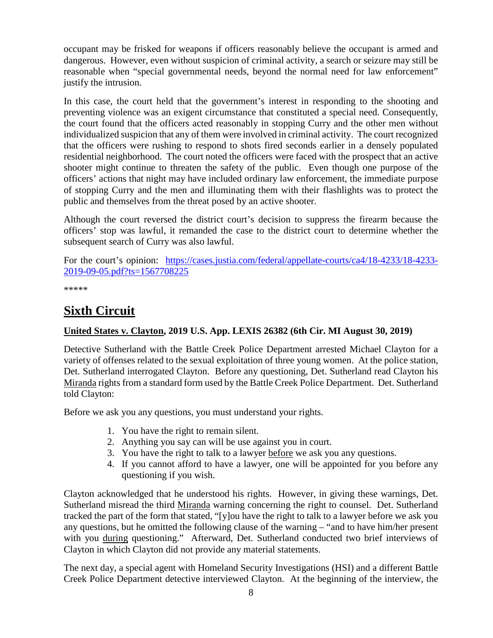occupant may be frisked for weapons if officers reasonably believe the occupant is armed and dangerous. However, even without suspicion of criminal activity, a search or seizure may still be reasonable when "special governmental needs, beyond the normal need for law enforcement" justify the intrusion.

In this case, the court held that the government's interest in responding to the shooting and preventing violence was an exigent circumstance that constituted a special need. Consequently, the court found that the officers acted reasonably in stopping Curry and the other men without individualized suspicion that any of them were involved in criminal activity. The court recognized that the officers were rushing to respond to shots fired seconds earlier in a densely populated residential neighborhood. The court noted the officers were faced with the prospect that an active shooter might continue to threaten the safety of the public. Even though one purpose of the officers' actions that night may have included ordinary law enforcement, the immediate purpose of stopping Curry and the men and illuminating them with their flashlights was to protect the public and themselves from the threat posed by an active shooter.

Although the court reversed the district court's decision to suppress the firearm because the officers' stop was lawful, it remanded the case to the district court to determine whether the subsequent search of Curry was also lawful.

For the court's opinion: [https://cases.justia.com/federal/appellate-courts/ca4/18-4233/18-4233-](https://cases.justia.com/federal/appellate-courts/ca4/18-4233/18-4233-2019-09-05.pdf?ts=1567708225) [2019-09-05.pdf?ts=1567708225](https://cases.justia.com/federal/appellate-courts/ca4/18-4233/18-4233-2019-09-05.pdf?ts=1567708225)

\*\*\*\*\*

# <span id="page-7-0"></span>**Sixth Circuit**

#### <span id="page-7-1"></span>**United States v. Clayton, 2019 U.S. App. LEXIS 26382 (6th Cir. MI August 30, 2019)**

Detective Sutherland with the Battle Creek Police Department arrested Michael Clayton for a variety of offenses related to the sexual exploitation of three young women. At the police station, Det. Sutherland interrogated Clayton. Before any questioning, Det. Sutherland read Clayton his Miranda rights from a standard form used by the Battle Creek Police Department. Det. Sutherland told Clayton:

Before we ask you any questions, you must understand your rights.

- 1. You have the right to remain silent.
- 2. Anything you say can will be use against you in court.
- 3. You have the right to talk to a lawyer before we ask you any questions.
- 4. If you cannot afford to have a lawyer, one will be appointed for you before any questioning if you wish.

Clayton acknowledged that he understood his rights. However, in giving these warnings, Det. Sutherland misread the third Miranda warning concerning the right to counsel. Det. Sutherland tracked the part of the form that stated, "[y]ou have the right to talk to a lawyer before we ask you any questions, but he omitted the following clause of the warning – "and to have him/her present with you during questioning." Afterward, Det. Sutherland conducted two brief interviews of Clayton in which Clayton did not provide any material statements.

The next day, a special agent with Homeland Security Investigations (HSI) and a different Battle Creek Police Department detective interviewed Clayton. At the beginning of the interview, the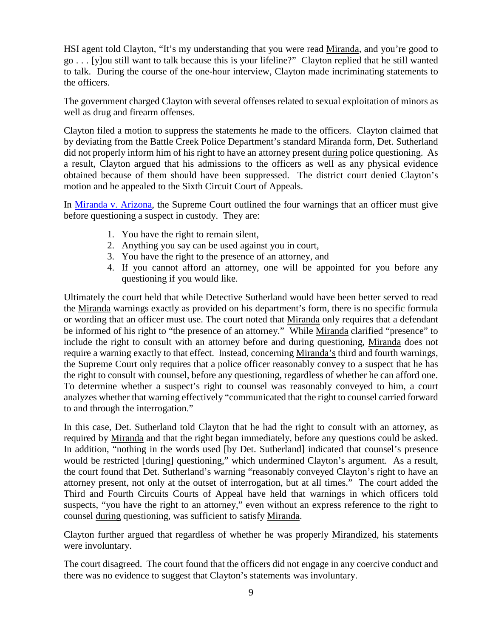HSI agent told Clayton, "It's my understanding that you were read Miranda, and you're good to go . . . [y]ou still want to talk because this is your lifeline?" Clayton replied that he still wanted to talk. During the course of the one-hour interview, Clayton made incriminating statements to the officers.

The government charged Clayton with several offenses related to sexual exploitation of minors as well as drug and firearm offenses.

Clayton filed a motion to suppress the statements he made to the officers. Clayton claimed that by deviating from the Battle Creek Police Department's standard Miranda form, Det. Sutherland did not properly inform him of his right to have an attorney present during police questioning. As a result, Clayton argued that his admissions to the officers as well as any physical evidence obtained because of them should have been suppressed. The district court denied Clayton's motion and he appealed to the Sixth Circuit Court of Appeals.

In [Miranda v. Arizona,](https://supreme.justia.com/cases/federal/us/384/436/) the Supreme Court outlined the four warnings that an officer must give before questioning a suspect in custody. They are:

- 1. You have the right to remain silent,
- 2. Anything you say can be used against you in court,
- 3. You have the right to the presence of an attorney, and
- 4. If you cannot afford an attorney, one will be appointed for you before any questioning if you would like.

Ultimately the court held that while Detective Sutherland would have been better served to read the Miranda warnings exactly as provided on his department's form, there is no specific formula or wording that an officer must use. The court noted that Miranda only requires that a defendant be informed of his right to "the presence of an attorney." While Miranda clarified "presence" to include the right to consult with an attorney before and during questioning, Miranda does not require a warning exactly to that effect. Instead, concerning Miranda's third and fourth warnings, the Supreme Court only requires that a police officer reasonably convey to a suspect that he has the right to consult with counsel, before any questioning, regardless of whether he can afford one. To determine whether a suspect's right to counsel was reasonably conveyed to him, a court analyzes whether that warning effectively "communicated that the right to counsel carried forward to and through the interrogation."

In this case, Det. Sutherland told Clayton that he had the right to consult with an attorney, as required by Miranda and that the right began immediately, before any questions could be asked. In addition, "nothing in the words used [by Det. Sutherland] indicated that counsel's presence would be restricted [during] questioning," which undermined Clayton's argument. As a result, the court found that Det. Sutherland's warning "reasonably conveyed Clayton's right to have an attorney present, not only at the outset of interrogation, but at all times." The court added the Third and Fourth Circuits Courts of Appeal have held that warnings in which officers told suspects, "you have the right to an attorney," even without an express reference to the right to counsel during questioning, was sufficient to satisfy Miranda.

Clayton further argued that regardless of whether he was properly Mirandized, his statements were involuntary.

The court disagreed. The court found that the officers did not engage in any coercive conduct and there was no evidence to suggest that Clayton's statements was involuntary.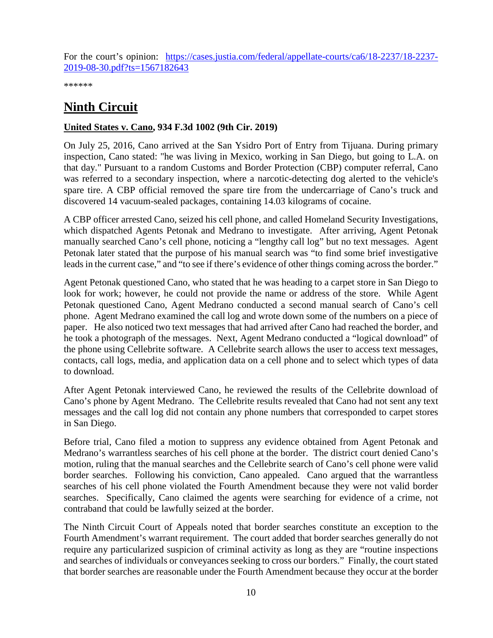For the court's opinion: [https://cases.justia.com/federal/appellate-courts/ca6/18-2237/18-2237-](https://cases.justia.com/federal/appellate-courts/ca6/18-2237/18-2237-2019-08-30.pdf?ts=1567182643) [2019-08-30.pdf?ts=1567182643](https://cases.justia.com/federal/appellate-courts/ca6/18-2237/18-2237-2019-08-30.pdf?ts=1567182643)

\*\*\*\*\*\*

# <span id="page-9-0"></span>**Ninth Circuit**

#### <span id="page-9-1"></span>**United States v. Cano, 934 F.3d 1002 (9th Cir. 2019)**

On July 25, 2016, Cano arrived at the San Ysidro Port of Entry from Tijuana. During primary inspection, Cano stated: "he was living in Mexico, working in San Diego, but going to L.A. on that day." Pursuant to a random Customs and Border Protection (CBP) computer referral, Cano was referred to a secondary inspection, where a narcotic-detecting dog alerted to the vehicle's spare tire. A CBP official removed the spare tire from the undercarriage of Cano's truck and discovered 14 vacuum-sealed packages, containing 14.03 kilograms of cocaine.

A CBP officer arrested Cano, seized his cell phone, and called Homeland Security Investigations, which dispatched Agents Petonak and Medrano to investigate. After arriving, Agent Petonak manually searched Cano's cell phone, noticing a "lengthy call log" but no text messages. Agent Petonak later stated that the purpose of his manual search was "to find some brief investigative leads in the current case," and "to see if there's evidence of other things coming across the border."

Agent Petonak questioned Cano, who stated that he was heading to a carpet store in San Diego to look for work; however, he could not provide the name or address of the store. While Agent Petonak questioned Cano, Agent Medrano conducted a second manual search of Cano's cell phone. Agent Medrano examined the call log and wrote down some of the numbers on a piece of paper. He also noticed two text messages that had arrived after Cano had reached the border, and he took a photograph of the messages. Next, Agent Medrano conducted a "logical download" of the phone using Cellebrite software. A Cellebrite search allows the user to access text messages, contacts, call logs, media, and application data on a cell phone and to select which types of data to download.

After Agent Petonak interviewed Cano, he reviewed the results of the Cellebrite download of Cano's phone by Agent Medrano. The Cellebrite results revealed that Cano had not sent any text messages and the call log did not contain any phone numbers that corresponded to carpet stores in San Diego.

Before trial, Cano filed a motion to suppress any evidence obtained from Agent Petonak and Medrano's warrantless searches of his cell phone at the border. The district court denied Cano's motion, ruling that the manual searches and the Cellebrite search of Cano's cell phone were valid border searches. Following his conviction, Cano appealed. Cano argued that the warrantless searches of his cell phone violated the Fourth Amendment because they were not valid border searches. Specifically, Cano claimed the agents were searching for evidence of a crime, not contraband that could be lawfully seized at the border.

The Ninth Circuit Court of Appeals noted that border searches constitute an exception to the Fourth Amendment's warrant requirement. The court added that border searches generally do not require any particularized suspicion of criminal activity as long as they are "routine inspections and searches of individuals or conveyances seeking to cross our borders." Finally, the court stated that border searches are reasonable under the Fourth Amendment because they occur at the border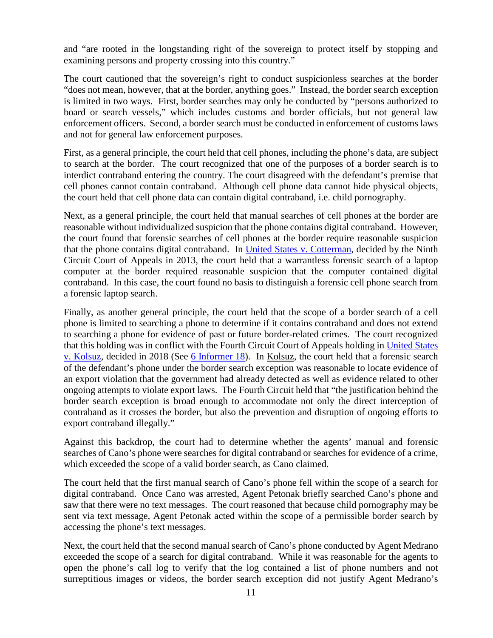and "are rooted in the longstanding right of the sovereign to protect itself by stopping and examining persons and property crossing into this country."

The court cautioned that the sovereign's right to conduct suspicionless searches at the border "does not mean, however, that at the border, anything goes." Instead, the border search exception is limited in two ways. First, border searches may only be conducted by "persons authorized to board or search vessels," which includes customs and border officials, but not general law enforcement officers. Second, a border search must be conducted in enforcement of customs laws and not for general law enforcement purposes.

First, as a general principle, the court held that cell phones, including the phone's data, are subject to search at the border. The court recognized that one of the purposes of a border search is to interdict contraband entering the country. The court disagreed with the defendant's premise that cell phones cannot contain contraband. Although cell phone data cannot hide physical objects, the court held that cell phone data can contain digital contraband, i.e. child pornography.

Next, as a general principle, the court held that manual searches of cell phones at the border are reasonable without individualized suspicion that the phone contains digital contraband. However, the court found that forensic searches of cell phones at the border require reasonable suspicion that the phone contains digital contraband. In [United States v. Cotterman,](https://law.justia.com/cases/federal/appellate-courts/ca9/09-10139/09-10139-2013-03-08.html) decided by the Ninth Circuit Court of Appeals in 2013, the court held that a warrantless forensic search of a laptop computer at the border required reasonable suspicion that the computer contained digital contraband. In this case, the court found no basis to distinguish a forensic cell phone search from a forensic laptop search.

Finally, as another general principle, the court held that the scope of a border search of a cell phone is limited to searching a phone to determine if it contains contraband and does not extend to searching a phone for evidence of past or future border-related crimes. The court recognized that this holding was in conflict with the Fourth Circuit Court of Appeals holding in [United States](https://cases.justia.com/federal/appellate-courts/ca4/16-4687/16-4687-2018-05-18.pdf?ts=1526668260)  [v. Kolsuz,](https://cases.justia.com/federal/appellate-courts/ca4/16-4687/16-4687-2018-05-18.pdf?ts=1526668260) decided in 2018 (See [6 Informer 18\)](https://www.fletc.gov/sites/default/files/6Informer18.pdf). In Kolsuz, the court held that a forensic search of the defendant's phone under the border search exception was reasonable to locate evidence of an export violation that the government had already detected as well as evidence related to other ongoing attempts to violate export laws. The Fourth Circuit held that "the justification behind the border search exception is broad enough to accommodate not only the direct interception of contraband as it crosses the border, but also the prevention and disruption of ongoing efforts to export contraband illegally."

Against this backdrop, the court had to determine whether the agents' manual and forensic searches of Cano's phone were searches for digital contraband or searches for evidence of a crime, which exceeded the scope of a valid border search, as Cano claimed.

The court held that the first manual search of Cano's phone fell within the scope of a search for digital contraband. Once Cano was arrested, Agent Petonak briefly searched Cano's phone and saw that there were no text messages. The court reasoned that because child pornography may be sent via text message, Agent Petonak acted within the scope of a permissible border search by accessing the phone's text messages.

Next, the court held that the second manual search of Cano's phone conducted by Agent Medrano exceeded the scope of a search for digital contraband. While it was reasonable for the agents to open the phone's call log to verify that the log contained a list of phone numbers and not surreptitious images or videos, the border search exception did not justify Agent Medrano's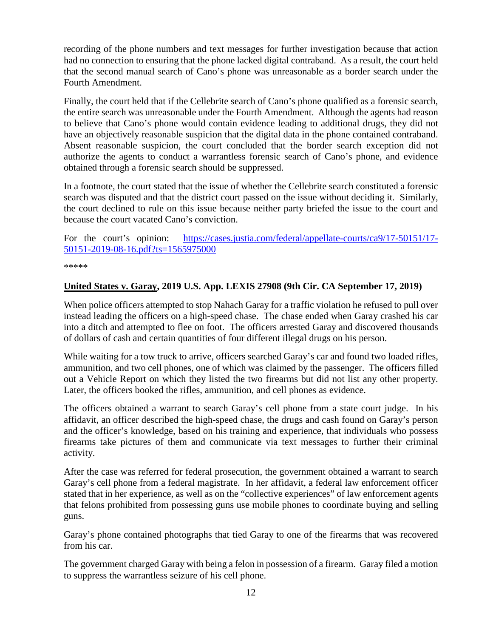recording of the phone numbers and text messages for further investigation because that action had no connection to ensuring that the phone lacked digital contraband. As a result, the court held that the second manual search of Cano's phone was unreasonable as a border search under the Fourth Amendment.

Finally, the court held that if the Cellebrite search of Cano's phone qualified as a forensic search, the entire search was unreasonable under the Fourth Amendment. Although the agents had reason to believe that Cano's phone would contain evidence leading to additional drugs, they did not have an objectively reasonable suspicion that the digital data in the phone contained contraband. Absent reasonable suspicion, the court concluded that the border search exception did not authorize the agents to conduct a warrantless forensic search of Cano's phone, and evidence obtained through a forensic search should be suppressed.

In a footnote, the court stated that the issue of whether the Cellebrite search constituted a forensic search was disputed and that the district court passed on the issue without deciding it. Similarly, the court declined to rule on this issue because neither party briefed the issue to the court and because the court vacated Cano's conviction.

For the court's opinion: [https://cases.justia.com/federal/appellate-courts/ca9/17-50151/17-](https://cases.justia.com/federal/appellate-courts/ca9/17-50151/17-50151-2019-08-16.pdf?ts=1565975000) [50151-2019-08-16.pdf?ts=1565975000](https://cases.justia.com/federal/appellate-courts/ca9/17-50151/17-50151-2019-08-16.pdf?ts=1565975000)

\*\*\*\*\*

#### <span id="page-11-0"></span>**United States v. Garay, 2019 U.S. App. LEXIS 27908 (9th Cir. CA September 17, 2019)**

When police officers attempted to stop Nahach Garay for a traffic violation he refused to pull over instead leading the officers on a high-speed chase. The chase ended when Garay crashed his car into a ditch and attempted to flee on foot. The officers arrested Garay and discovered thousands of dollars of cash and certain quantities of four different illegal drugs on his person.

While waiting for a tow truck to arrive, officers searched Garay's car and found two loaded rifles, ammunition, and two cell phones, one of which was claimed by the passenger. The officers filled out a Vehicle Report on which they listed the two firearms but did not list any other property. Later, the officers booked the rifles, ammunition, and cell phones as evidence.

The officers obtained a warrant to search Garay's cell phone from a state court judge. In his affidavit, an officer described the high-speed chase, the drugs and cash found on Garay's person and the officer's knowledge, based on his training and experience, that individuals who possess firearms take pictures of them and communicate via text messages to further their criminal activity.

After the case was referred for federal prosecution, the government obtained a warrant to search Garay's cell phone from a federal magistrate. In her affidavit, a federal law enforcement officer stated that in her experience, as well as on the "collective experiences" of law enforcement agents that felons prohibited from possessing guns use mobile phones to coordinate buying and selling guns.

Garay's phone contained photographs that tied Garay to one of the firearms that was recovered from his car.

The government charged Garay with being a felon in possession of a firearm. Garay filed a motion to suppress the warrantless seizure of his cell phone.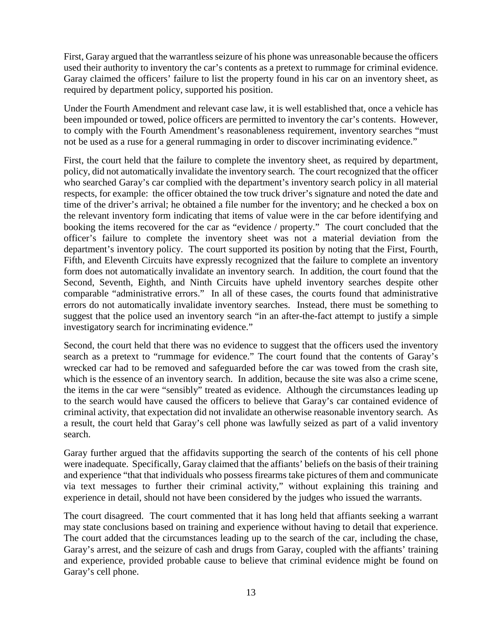First, Garay argued that the warrantless seizure of his phone was unreasonable because the officers used their authority to inventory the car's contents as a pretext to rummage for criminal evidence. Garay claimed the officers' failure to list the property found in his car on an inventory sheet, as required by department policy, supported his position.

Under the Fourth Amendment and relevant case law, it is well established that, once a vehicle has been impounded or towed, police officers are permitted to inventory the car's contents. However, to comply with the Fourth Amendment's reasonableness requirement, inventory searches "must not be used as a ruse for a general rummaging in order to discover incriminating evidence."

First, the court held that the failure to complete the inventory sheet, as required by department, policy, did not automatically invalidate the inventory search. The court recognized that the officer who searched Garay's car complied with the department's inventory search policy in all material respects, for example: the officer obtained the tow truck driver's signature and noted the date and time of the driver's arrival; he obtained a file number for the inventory; and he checked a box on the relevant inventory form indicating that items of value were in the car before identifying and booking the items recovered for the car as "evidence / property." The court concluded that the officer's failure to complete the inventory sheet was not a material deviation from the department's inventory policy. The court supported its position by noting that the First, Fourth, Fifth, and Eleventh Circuits have expressly recognized that the failure to complete an inventory form does not automatically invalidate an inventory search. In addition, the court found that the Second, Seventh, Eighth, and Ninth Circuits have upheld inventory searches despite other comparable "administrative errors." In all of these cases, the courts found that administrative errors do not automatically invalidate inventory searches. Instead, there must be something to suggest that the police used an inventory search "in an after-the-fact attempt to justify a simple investigatory search for incriminating evidence."

Second, the court held that there was no evidence to suggest that the officers used the inventory search as a pretext to "rummage for evidence." The court found that the contents of Garay's wrecked car had to be removed and safeguarded before the car was towed from the crash site, which is the essence of an inventory search. In addition, because the site was also a crime scene, the items in the car were "sensibly" treated as evidence. Although the circumstances leading up to the search would have caused the officers to believe that Garay's car contained evidence of criminal activity, that expectation did not invalidate an otherwise reasonable inventory search. As a result, the court held that Garay's cell phone was lawfully seized as part of a valid inventory search.

Garay further argued that the affidavits supporting the search of the contents of his cell phone were inadequate. Specifically, Garay claimed that the affiants' beliefs on the basis of their training and experience "that that individuals who possess firearms take pictures of them and communicate via text messages to further their criminal activity," without explaining this training and experience in detail, should not have been considered by the judges who issued the warrants.

The court disagreed. The court commented that it has long held that affiants seeking a warrant may state conclusions based on training and experience without having to detail that experience. The court added that the circumstances leading up to the search of the car, including the chase, Garay's arrest, and the seizure of cash and drugs from Garay, coupled with the affiants' training and experience, provided probable cause to believe that criminal evidence might be found on Garay's cell phone.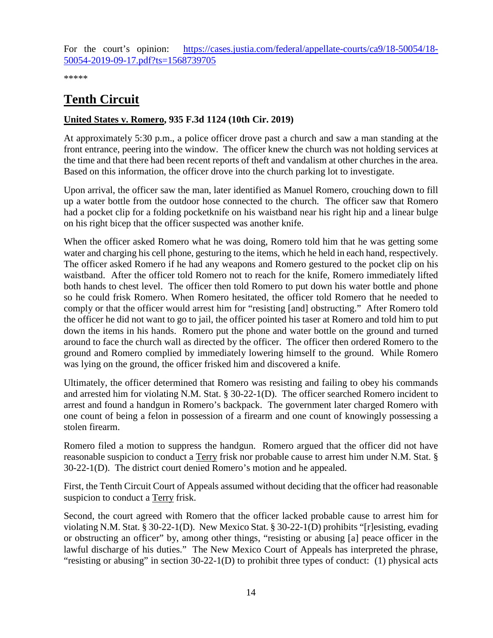For the court's opinion: [https://cases.justia.com/federal/appellate-courts/ca9/18-50054/18-](https://cases.justia.com/federal/appellate-courts/ca9/18-50054/18-50054-2019-09-17.pdf?ts=1568739705) [50054-2019-09-17.pdf?ts=1568739705](https://cases.justia.com/federal/appellate-courts/ca9/18-50054/18-50054-2019-09-17.pdf?ts=1568739705)

\*\*\*\*\*

# <span id="page-13-0"></span>**Tenth Circuit**

#### <span id="page-13-1"></span>**United States v. Romero, 935 F.3d 1124 (10th Cir. 2019)**

At approximately 5:30 p.m., a police officer drove past a church and saw a man standing at the front entrance, peering into the window. The officer knew the church was not holding services at the time and that there had been recent reports of theft and vandalism at other churches in the area. Based on this information, the officer drove into the church parking lot to investigate.

Upon arrival, the officer saw the man, later identified as Manuel Romero, crouching down to fill up a water bottle from the outdoor hose connected to the church. The officer saw that Romero had a pocket clip for a folding pocketknife on his waistband near his right hip and a linear bulge on his right bicep that the officer suspected was another knife.

When the officer asked Romero what he was doing, Romero told him that he was getting some water and charging his cell phone, gesturing to the items, which he held in each hand, respectively. The officer asked Romero if he had any weapons and Romero gestured to the pocket clip on his waistband. After the officer told Romero not to reach for the knife, Romero immediately lifted both hands to chest level. The officer then told Romero to put down his water bottle and phone so he could frisk Romero. When Romero hesitated, the officer told Romero that he needed to comply or that the officer would arrest him for "resisting [and] obstructing." After Romero told the officer he did not want to go to jail, the officer pointed his taser at Romero and told him to put down the items in his hands. Romero put the phone and water bottle on the ground and turned around to face the church wall as directed by the officer. The officer then ordered Romero to the ground and Romero complied by immediately lowering himself to the ground. While Romero was lying on the ground, the officer frisked him and discovered a knife.

Ultimately, the officer determined that Romero was resisting and failing to obey his commands and arrested him for violating N.M. Stat. § 30-22-1(D). The officer searched Romero incident to arrest and found a handgun in Romero's backpack. The government later charged Romero with one count of being a felon in possession of a firearm and one count of knowingly possessing a stolen firearm.

Romero filed a motion to suppress the handgun. Romero argued that the officer did not have reasonable suspicion to conduct a Terry frisk nor probable cause to arrest him under N.M. Stat. § 30-22-1(D). The district court denied Romero's motion and he appealed.

First, the Tenth Circuit Court of Appeals assumed without deciding that the officer had reasonable suspicion to conduct a Terry frisk.

Second, the court agreed with Romero that the officer lacked probable cause to arrest him for violating N.M. Stat. § 30-22-1(D). New Mexico Stat. § 30-22-1(D) prohibits "[r]esisting, evading or obstructing an officer" by, among other things, "resisting or abusing [a] peace officer in the lawful discharge of his duties." The New Mexico Court of Appeals has interpreted the phrase, "resisting or abusing" in section 30-22-1(D) to prohibit three types of conduct: (1) physical acts